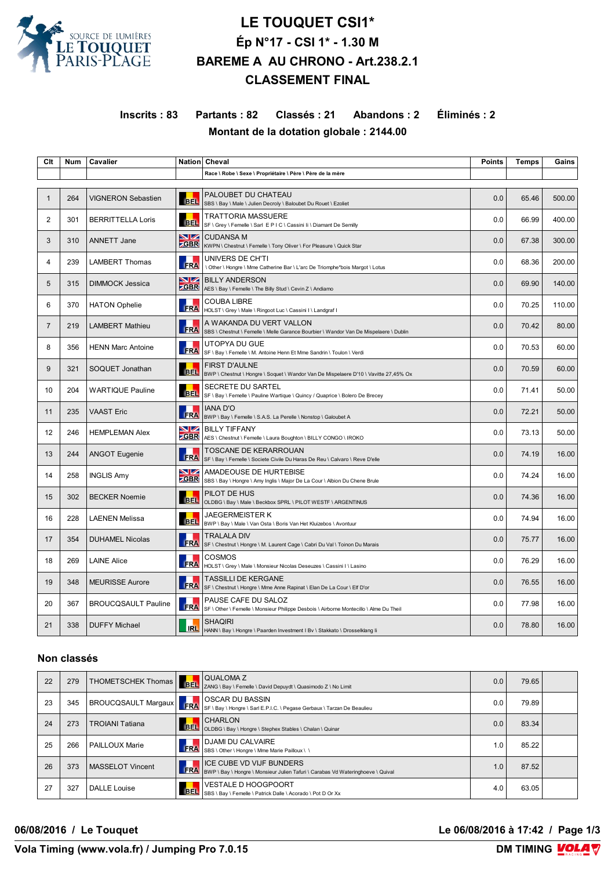

# **LE TOUQUET CSI1\* Ép N°17 - CSI 1\* - 1.30 M BAREME A AU CHRONO - Art.238.2.1 CLASSEMENT FINAL**

**Inscrits : 83 Partants : 82 Classés : 21 Abandons : 2 Éliminés : 2 Montant de la dotation globale : 2144.00**

| Clt            | <b>Num</b> | <b>Cavalier</b>            |                    | Nation Cheval                                                                                                     | <b>Points</b> | <b>Temps</b> | Gains  |
|----------------|------------|----------------------------|--------------------|-------------------------------------------------------------------------------------------------------------------|---------------|--------------|--------|
|                |            |                            |                    | Race \ Robe \ Sexe \ Propriétaire \ Père \ Père de la mère                                                        |               |              |        |
| 1              | 264        | <b>VIGNERON Sebastien</b>  | <b>BEL</b>         | PALOUBET DU CHATEAU<br>SBS \ Bay \ Male \ Julien Decroly \ Baloubet Du Rouet \ Ezoliet                            | 0.0           | 65.46        | 500.00 |
| 2              | 301        | <b>BERRITTELLA Loris</b>   | <b>BEL</b>         | TRATTORIA MASSUERE<br>SF \ Grey \ Femelle \ Sarl E P   C \ Cassini Ii \ Diamant De Semilly                        | 0.0           | 66.99        | 400.00 |
| 3              | 310        | <b>ANNETT Jane</b>         | NZ.<br><b>ZGBR</b> | <b>CUDANSA M</b><br>KWPN \ Chestnut \ Femelle \ Tony Oliver \ For Pleasure \ Quick Star                           | 0.0           | 67.38        | 300.00 |
| 4              | 239        | <b>LAMBERT Thomas</b>      | <b>FRA</b>         | UNIVERS DE CH'TI<br>\ Other \ Hongre \ Mme Catherine Bar \ L'arc De Triomphe*bois Margot \ Lotus                  | 0.0           | 68.36        | 200.00 |
| 5              | 315        | <b>DIMMOCK Jessica</b>     | NZ.<br><b>ZGBR</b> | <b>BILLY ANDERSON</b><br>AES \ Bay \ Femelle \ The Billy Stud \ Cevin Z \ Andiamo                                 | 0.0           | 69.90        | 140.00 |
| 6              | 370        | <b>HATON Ophelie</b>       | <b>FRA</b>         | <b>COUBA LIBRE</b><br>HOLST \ Grey \ Male \ Ringoot Luc \ Cassini I \ Landgraf I                                  | 0.0           | 70.25        | 110.00 |
| $\overline{7}$ | 219        | <b>LAMBERT Mathieu</b>     | <b>FRA</b>         | A WAKANDA DU VERT VALLON<br>SBS \ Chestnut \ Femelle \ Melle Garance Bourbier \ Wandor Van De Mispelaere \ Dublin | 0.0           | 70.42        | 80.00  |
| 8              | 356        | <b>HENN Marc Antoine</b>   | FRA                | UTOPYA DU GUE<br>SF \ Bay \ Femelle \ M. Antoine Henn Et Mme Sandrin \ Toulon \ Verdi                             | 0.0           | 70.53        | 60.00  |
| 9              | 321        | SOQUET Jonathan            | <b>BEL</b>         | <b>FIRST D'AULNE</b><br>BWP \ Chestnut \ Hongre \ Soquet \ Wandor Van De Mispelaere D'10 \ Vavitte 27,45% Ox      | 0.0           | 70.59        | 60.00  |
| 10             | 204        | <b>WARTIQUE Pauline</b>    | <b>BEL</b>         | SECRETE DU SARTEL<br>SF \ Bay \ Femelle \ Pauline Wartique \ Quincy / Quaprice \ Bolero De Brecey                 | 0.0           | 71.41        | 50.00  |
| 11             | 235        | <b>VAAST Eric</b>          | <b>FRA</b>         | <b>IANA D'O</b><br>BWP \ Bay \ Femelle \ S.A.S. La Perelle \ Nonstop \ Galoubet A                                 | 0.0           | 72.21        | 50.00  |
| 12             | 246        | <b>HEMPLEMAN Alex</b>      | <b>S</b> Z         | <b>BILLY TIFFANY</b><br><b>CGBR</b> AES \ Chestnut \ Femelle \ Laura Boughton \ BILLY CONGO \ IROKO               | 0.0           | 73.13        | 50.00  |
| 13             | 244        | <b>ANGOT Eugenie</b>       | <b>FRA</b>         | <b>TOSCANE DE KERARROUAN</b><br>SF \ Bay \ Femelle \ Societe Civile Du Haras De Reu \ Calvaro \ Reve D'elle       | 0.0           | 74.19        | 16.00  |
| 14             | 258        | <b>INGLIS Amy</b>          | VZ<br><b>ZGBR</b>  | AMADEOUSE DE HURTEBISE<br>SBS \ Bay \ Hongre \ Amy Inglis \ Major De La Cour \ Albion Du Chene Brule              | 0.0           | 74.24        | 16.00  |
| 15             | 302        | <b>BECKER Noemie</b>       | <b>BEL</b>         | PILOT DE HUS<br>OLDBG \ Bay \ Male \ Beckbox SPRL \ PILOT WESTF \ ARGENTINUS                                      | 0.0           | 74.36        | 16.00  |
| 16             | 228        | <b>LAENEN Melissa</b>      | <b>BEL</b>         | <b>JAEGERMEISTER K</b><br>BWP \ Bay \ Male \ Van Osta \ Boris Van Het Kluizebos \ Avontuur                        | 0.0           | 74.94        | 16.00  |
| 17             | 354        | <b>DUHAMEL Nicolas</b>     | <b>FRA</b>         | <b>TRALALA DIV</b><br>SF \ Chestnut \ Hongre \ M. Laurent Cage \ Cabri Du Val \ Toinon Du Marais                  | 0.0           | 75.77        | 16.00  |
| 18             | 269        | <b>LAINE Alice</b>         | <b>FRA</b>         | <b>COSMOS</b><br>HOLST \ Grey \ Male \ Monsieur Nicolas Deseuzes \ Cassini   \ Lasino                             | 0.0           | 76.29        | 16.00  |
| 19             | 348        | <b>MEURISSE Aurore</b>     | <b>FRA</b>         | TASSILLI DE KERGANE<br>SF \ Chestnut \ Hongre \ Mme Anne Rapinat \ Elan De La Cour \ Elf D'or                     | 0.0           | 76.55        | 16.00  |
| 20             | 367        | <b>BROUCQSAULT Pauline</b> | <b>FRA</b>         | PAUSE CAFE DU SALOZ<br>SF \ Other \ Femelle \ Monsieur Philippe Desbois \ Airborne Montecillo \ Alme Du Theil     | 0.0           | 77.98        | 16.00  |
| 21             | 338        | <b>DUFFY Michael</b>       | <b>IRL</b>         | <b>SHAQIRI</b><br>HANN \ Bay \ Hongre \ Paarden Investment   Bv \ Stakkato \ Drosselklang li                      | 0.0           | 78.80        | 16.00  |

### **Non classés**

| 22 | 279 | THOMETSCHEK Thomas   BEL   |            | QUALOMA Z<br>ZANG \ Bay \ Femelle \ David Depuydt \ Quasimodo Z \ No Limit                                  | 0.0 | 79.65 |  |
|----|-----|----------------------------|------------|-------------------------------------------------------------------------------------------------------------|-----|-------|--|
| 23 | 345 | <b>BROUCQSAULT Margaux</b> | FRA        | OSCAR DU BASSIN<br>SF \ Bay \ Hongre \ Sarl E.P.I.C. \ Pegase Gerbaux \ Tarzan De Beaulieu                  | 0.0 | 79.89 |  |
| 24 | 273 | <b>TROIANI Tatiana</b>     | BEL.       | <b>CHARLON</b><br>OLDBG \ Bay \ Hongre \ Stephex Stables \ Chalan \ Quinar                                  | 0.0 | 83.34 |  |
| 25 | 266 | PAILLOUX Marie             | FRA        | DJAMI DU CALVAIRE<br>SBS \ Other \ Hongre \ Mme Marie Pailloux \ \                                          | 1.0 | 85.22 |  |
| 26 | 373 | MASSELOT Vincent           | FRA        | ICE CUBE VD VIJF BUNDERS<br>BWP \ Bay \ Hongre \ Monsieur Julien Tafuri \ Carabas Vd Wateringhoeve \ Quival | 1.0 | 87.52 |  |
| 27 | 327 | DALLE Louise               | <b>BEL</b> | <b>VESTALE D HOOGPOORT</b><br>SBS \ Bay \ Femelle \ Patrick Dalle \ Acorado \ Pot D Or Xx                   | 4.0 | 63.05 |  |

**06/08/2016 / Le Touquet Le 06/08/2016 à 17:42 / Page 1/3**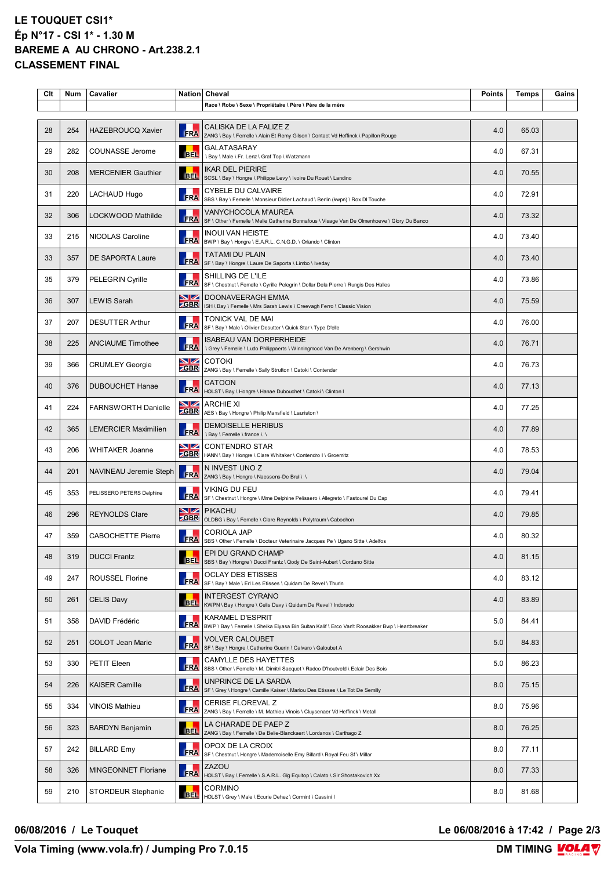# **LE TOUQUET CSI1\* Ép N°17 - CSI 1\* - 1.30 M BAREME A AU CHRONO - Art.238.2.1 CLASSEMENT FINAL**

| Clt | Num | <b>Cavalier</b>             | <b>Nation</b>     | Cheval                                                                                                                    | <b>Points</b> | <b>Temps</b> | Gains |
|-----|-----|-----------------------------|-------------------|---------------------------------------------------------------------------------------------------------------------------|---------------|--------------|-------|
|     |     |                             |                   | Race \ Robe \ Sexe \ Propriétaire \ Père \ Père de la mère                                                                |               |              |       |
| 28  | 254 | <b>HAZEBROUCQ Xavier</b>    | FRA               | CALISKA DE LA FALIZE Z<br>ZANG \ Bay \ Femelle \ Alain Et Remy Gilson \ Contact Vd Heffinck \ Papillon Rouge              | 4.0           | 65.03        |       |
| 29  | 282 | COUNASSE Jerome             | <b>BEL</b>        | GALATASARAY<br>\ Bay \ Male \ Fr. Lenz \ Graf Top \ Watzmann                                                              | 4.0           | 67.31        |       |
| 30  | 208 | <b>MERCENIER Gauthier</b>   | <b>BEL</b>        | <b>IKAR DEL PIERIRE</b><br>SCSL \ Bay \ Hongre \ Philippe Levy \ Ivoire Du Rouet \ Landino                                | 4.0           | 70.55        |       |
| 31  | 220 | LACHAUD Hugo                | FRA               | <b>CYBELE DU CALVAIRE</b><br>SBS \ Bay \ Femelle \ Monsieur Didier Lachaud \ Berlin (kwpn) \ Rox DI Touche                | 4.0           | 72.91        |       |
| 32  | 306 | LOCKWOOD Mathilde           | FRA               | VANYCHOCOLA M'AUREA<br>SF \ Other \ Femelle \ Melle Catherine Bonnafous \ Visage Van De Olmenhoeve \ Glory Du Banco       | 4.0           | 73.32        |       |
| 33  | 215 | NICOLAS Caroline            | <b>FRA</b>        | <b>INOUI VAN HEISTE</b><br>BWP \ Bay \ Hongre \ E.A.R.L. C.N.G.D. \ Orlando \ Clinton                                     | 4.0           | 73.40        |       |
| 33  | 357 | <b>DE SAPORTA Laure</b>     | <b>FRA</b>        | <b>TATAMI DU PLAIN</b><br>SF \ Bay \ Hongre \ Laure De Saporta \ Limbo \ Iveday                                           | 4.0           | 73.40        |       |
| 35  | 379 | <b>PELEGRIN Cyrille</b>     | FRA               | SHILLING DE L'ILE<br>SF \ Chestnut \ Femelle \ Cyrille Pelegrin \ Dollar Dela Pierre \ Rungis Des Halles                  | 4.0           | 73.86        |       |
| 36  | 307 | <b>LEWIS Sarah</b>          | NZ<br><b>ZGBR</b> | <b>DOONAVEERAGH EMMA</b><br>ISH \ Bay \ Femelle \ Mrs Sarah Lewis \ Creevagh Ferro \ Classic Vision                       | 4.0           | 75.59        |       |
| 37  | 207 | <b>DESUTTER Arthur</b>      | <b>FRA</b>        | TONICK VAL DE MAI<br>SF \ Bay \ Male \ Olivier Desutter \ Quick Star \ Type D'elle                                        | 4.0           | 76.00        |       |
| 38  | 225 | <b>ANCIAUME Timothee</b>    | FRA               | <b>ISABEAU VAN DORPERHEIDE</b><br>\ Grey \ Femelle \ Ludo Philippaerts \ Winningmood Van De Arenberg \ Gershwin           | 4.0           | 76.71        |       |
| 39  | 366 | <b>CRUMLEY Georgie</b>      | VZ<br><b>ZGBR</b> | <b>COTOKI</b><br>ZANG \ Bay \ Femelle \ Sally Strutton \ Catoki \ Contender                                               | 4.0           | 76.73        |       |
| 40  | 376 | <b>DUBOUCHET Hanae</b>      | FRA               | <b>CATOON</b><br>HOLST \ Bay \ Hongre \ Hanae Dubouchet \ Catoki \ Clinton I                                              | 4.0           | 77.13        |       |
| 41  | 224 | <b>FARNSWORTH Danielle</b>  | NZ<br><b>GBR</b>  | <b>ARCHIE XI</b><br>AES \ Bay \ Hongre \ Philip Mansfield \ Lauriston \                                                   | 4.0           | 77.25        |       |
| 42  | 365 | <b>LEMERCIER Maximilien</b> | FRA               | <b>DEMOISELLE HERIBUS</b><br>\ Bay \ Femelle \ france \ \                                                                 | 4.0           | 77.89        |       |
| 43  | 206 | <b>WHITAKER Joanne</b>      | NZ<br><b>ZGBR</b> | <b>CONTENDRO STAR</b><br>HANN \ Bay \ Hongre \ Clare Whitaker \ Contendro I \ Groemitz                                    | 4.0           | 78.53        |       |
| 44  | 201 | NAVINEAU Jeremie Steph      | FRA               | N INVEST UNO Z<br>ZANG \ Bay \ Hongre \ Naessens-De Brul \ \                                                              | 4.0           | 79.04        |       |
| 45  | 353 | PELISSERO PETERS Delphine   | <b>FRA</b>        | VIKING DU FEU<br>SF \ Chestnut \ Hongre \ Mme Delphine Pelissero \ Allegreto \ Fastourel Du Cap                           | 4.0           | 79.41        |       |
| 46  | 296 | <b>REYNOLDS Clare</b>       | NZ<br><b>ZGBR</b> | <b>PIKACHU</b><br>OLDBG \ Bay \ Femelle \ Clare Reynolds \ Polytraum \ Cabochon                                           | 4.0           | 79.85        |       |
| 47  | 359 | <b>CABOCHETTE Pierre</b>    | <b>FRA</b>        | <b>CORIOLA JAP</b><br>SBS \ Other \ Femelle \ Docteur Veterinaire Jacques Pe \ Ugano Sitte \ Adelfos                      | 4.0           | 80.32        |       |
| 48  | 319 | <b>DUCCI Frantz</b>         | <b>BEL</b>        | EPI DU GRAND CHAMP<br>SBS \ Bay \ Hongre \ Ducci Frantz \ Qody De Saint-Aubert \ Cordano Sitte                            | 4.0           | 81.15        |       |
| 49  | 247 | ROUSSEL Florine             | FRA               | <b>OCLAY DES ETISSES</b><br>SF \ Bay \ Male \ Erl Les Etisses \ Quidam De Revel \ Thurin                                  | 4.0           | 83.12        |       |
| 50  | 261 | <b>CELIS Davy</b>           | <b>BEL</b>        | <b>INTERGEST CYRANO</b><br>KWPN \ Bay \ Hongre \ Celis Davy \ Quidam De Revel \ Indorado                                  | 4.0           | 83.89        |       |
| 51  | 358 | DAVID Frédéric              | FRA               | <b>KARAMEL D'ESPRIT</b><br>BWP \ Bay \ Femelle \ Sheika Elyasa Bin Sultan Kalif \ Erco Van't Roosakker Bwp \ Heartbreaker | 5.0           | 84.41        |       |
| 52  | 251 | <b>COLOT Jean Marie</b>     | FRA               | VOLVER CALOUBET<br>SF \ Bay \ Hongre \ Catherine Guerin \ Calvaro \ Galoubet A                                            | 5.0           | 84.83        |       |
| 53  | 330 | PETIT Eleen                 | FRA               | CAMYLLE DES HAYETTES<br>SBS \ Other \ Femelle \ M. Dimitri Sacquet \ Radco D'houtveld \ Eclair Des Bois                   | 5.0           | 86.23        |       |
| 54  | 226 | KAISER Camille              | <b>FRA</b>        | UNPRINCE DE LA SARDA<br>SF \ Grey \ Hongre \ Camille Kaiser \ Marlou Des Etisses \ Le Tot De Semilly                      | 8.0           | 75.15        |       |
| 55  | 334 | <b>VINOIS Mathieu</b>       | FRA               | CERISE FLOREVAL Z<br>ZANG \ Bay \ Femelle \ M. Mathieu Vinois \ Cluysenaer Vd Heffinck \ Metall                           | 8.0           | 75.96        |       |
| 56  | 323 | <b>BARDYN Benjamin</b>      | <b>BEL</b>        | LA CHARADE DE PAEP Z<br>ZANG \ Bay \ Femelle \ De Belie-Blanckaert \ Lordanos \ Carthago Z                                | 8.0           | 76.25        |       |
| 57  | 242 | <b>BILLARD Emy</b>          | FRA               | OPOX DE LA CROIX<br>SF \ Chestnut \ Hongre \ Mademoiselle Emy Billard \ Royal Feu Sf \ Millar                             | 8.0           | 77.11        |       |
| 58  | 326 | MINGEONNET Floriane         | FRA               | ZAZOU<br>HOLST \ Bay \ Femelle \ S.A.R.L. Glg Equitop \ Calato \ Sir Shostakovich Xx                                      | 8.0           | 77.33        |       |
| 59  | 210 | STORDEUR Stephanie          | <b>BEL</b>        | <b>CORMINO</b><br>HOLST \ Grey \ Male \ Ecurie Dehez \ Cormint \ Cassini I                                                | 8.0           | 81.68        |       |

**06/08/2016 / Le Touquet Le 06/08/2016 à 17:42 / Page 2/3**